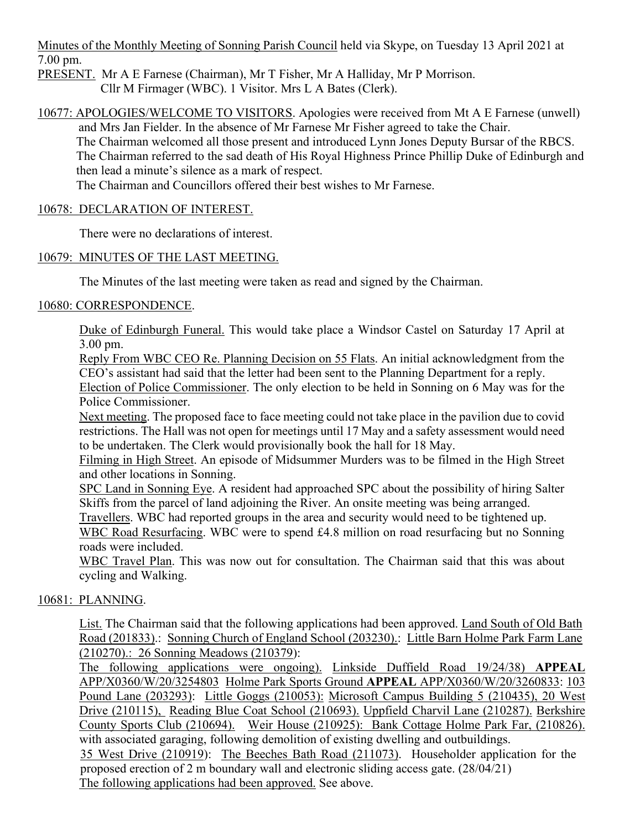Minutes of the Monthly Meeting of Sonning Parish Council held via Skype, on Tuesday 13 April 2021 at 7.00 pm.

PRESENT. Mr A E Farnese (Chairman), Mr T Fisher, Mr A Halliday, Mr P Morrison. Cllr M Firmager (WBC). 1 Visitor. Mrs L A Bates (Clerk).

10677: APOLOGIES/WELCOME TO VISITORS. Apologies were received from Mt A E Farnese (unwell) and Mrs Jan Fielder. In the absence of Mr Farnese Mr Fisher agreed to take the Chair.

The Chairman welcomed all those present and introduced Lynn Jones Deputy Bursar of the RBCS. The Chairman referred to the sad death of His Royal Highness Prince Phillip Duke of Edinburgh and then lead a minute's silence as a mark of respect.

The Chairman and Councillors offered their best wishes to Mr Farnese.

# 10678: DECLARATION OF INTEREST.

There were no declarations of interest.

# 10679: MINUTES OF THE LAST MEETING.

The Minutes of the last meeting were taken as read and signed by the Chairman.

# 10680: CORRESPONDENCE.

Duke of Edinburgh Funeral. This would take place a Windsor Castel on Saturday 17 April at 3.00 pm.

Reply From WBC CEO Re. Planning Decision on 55 Flats. An initial acknowledgment from the CEO's assistant had said that the letter had been sent to the Planning Department for a reply.

Election of Police Commissioner. The only election to be held in Sonning on 6 May was for the Police Commissioner.

Next meeting. The proposed face to face meeting could not take place in the pavilion due to covid restrictions. The Hall was not open for meetings until 17 May and a safety assessment would need to be undertaken. The Clerk would provisionally book the hall for 18 May.

Filming in High Street. An episode of Midsummer Murders was to be filmed in the High Street and other locations in Sonning.

SPC Land in Sonning Eye. A resident had approached SPC about the possibility of hiring Salter Skiffs from the parcel of land adjoining the River. An onsite meeting was being arranged.

Travellers. WBC had reported groups in the area and security would need to be tightened up.

WBC Road Resurfacing. WBC were to spend £4.8 million on road resurfacing but no Sonning roads were included.

WBC Travel Plan. This was now out for consultation. The Chairman said that this was about cycling and Walking.

# 10681: PLANNING.

List. The Chairman said that the following applications had been approved. Land South of Old Bath Road (201833).: Sonning Church of England School (203230).: Little Barn Holme Park Farm Lane (210270).: 26 Sonning Meadows (210379):

The following applications were ongoing). Linkside Duffield Road 19/24/38) **APPEAL** APP/X0360/W/20/3254803 Holme Park Sports Ground **APPEAL** APP/X0360/W/20/3260833: 103 Pound Lane (203293): Little Goggs (210053): Microsoft Campus Building 5 (210435), 20 West Drive (210115), Reading Blue Coat School (210693). Uppfield Charvil Lane (210287). Berkshire County Sports Club (210694). Weir House (210925): Bank Cottage Holme Park Far, (210826). with associated garaging, following demolition of existing dwelling and outbuildings. 35 West Drive (210919): The Beeches Bath Road (211073). Householder application for the proposed erection of 2 m boundary wall and electronic sliding access gate. (28/04/21)

The following applications had been approved. See above.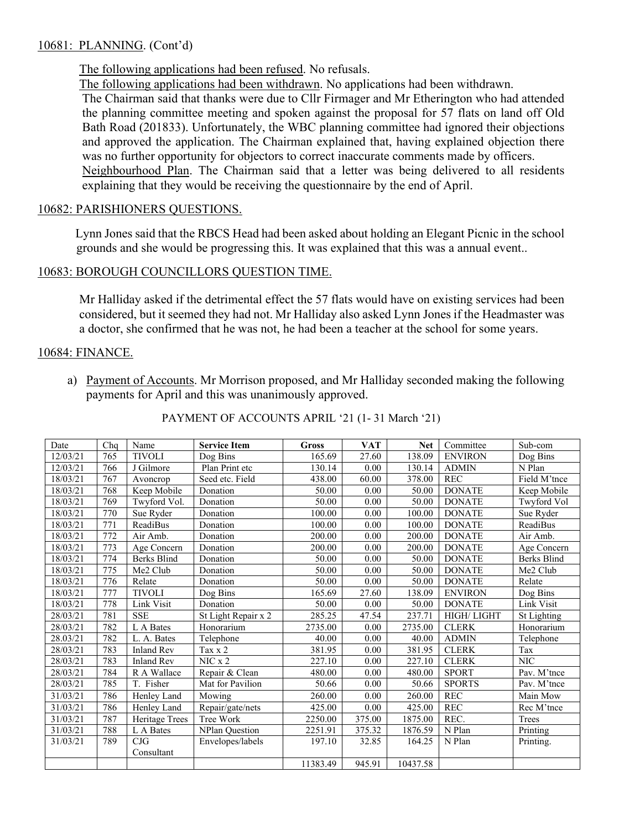#### 10681: PLANNING. (Cont'd)

The following applications had been refused. No refusals.

The following applications had been withdrawn. No applications had been withdrawn.

The Chairman said that thanks were due to Cllr Firmager and Mr Etherington who had attended the planning committee meeting and spoken against the proposal for 57 flats on land off Old Bath Road (201833). Unfortunately, the WBC planning committee had ignored their objections and approved the application. The Chairman explained that, having explained objection there was no further opportunity for objectors to correct inaccurate comments made by officers. Neighbourhood Plan. The Chairman said that a letter was being delivered to all residents explaining that they would be receiving the questionnaire by the end of April.

#### 10682: PARISHIONERS QUESTIONS.

Lynn Jones said that the RBCS Head had been asked about holding an Elegant Picnic in the school grounds and she would be progressing this. It was explained that this was a annual event..

# 10683: BOROUGH COUNCILLORS QUESTION TIME.

Mr Halliday asked if the detrimental effect the 57 flats would have on existing services had been considered, but it seemed they had not. Mr Halliday also asked Lynn Jones if the Headmaster was a doctor, she confirmed that he was not, he had been a teacher at the school for some years.

#### 10684: FINANCE.

a) Payment of Accounts. Mr Morrison proposed, and Mr Halliday seconded making the following payments for April and this was unanimously approved.

|  | PAYMENT OF ACCOUNTS APRIL '21 (1-31 March '21) |  |  |
|--|------------------------------------------------|--|--|
|  |                                                |  |  |

| Date     | Chq | Name               | <b>Service Item</b>   | <b>Gross</b> | <b>VAT</b> | <b>Net</b> | Committee         | Sub-com            |
|----------|-----|--------------------|-----------------------|--------------|------------|------------|-------------------|--------------------|
| 12/03/21 | 765 | <b>TIVOLI</b>      | Dog Bins              | 165.69       | 27.60      | 138.09     | <b>ENVIRON</b>    | Dog Bins           |
| 12/03/21 | 766 | J Gilmore          | Plan Print etc        | 130.14       | 0.00       | 130.14     | <b>ADMIN</b>      | N Plan             |
| 18/03/21 | 767 | Avoncrop           | Seed etc. Field       | 438.00       | 60.00      | 378.00     | <b>REC</b>        | Field M'tnce       |
| 18/03/21 | 768 | Keep Mobile        | Donation              | 50.00        | 0.00       | 50.00      | <b>DONATE</b>     | Keep Mobile        |
| 18/03/21 | 769 | Twyford Vol.       | Donation              | 50.00        | 0.00       | 50.00      | <b>DONATE</b>     | Twyford Vol        |
| 18/03/21 | 770 | Sue Ryder          | Donation              | 100.00       | 0.00       | 100.00     | <b>DONATE</b>     | Sue Ryder          |
| 18/03/21 | 771 | <b>ReadiBus</b>    | Donation              | 100.00       | 0.00       | 100.00     | <b>DONATE</b>     | <b>ReadiBus</b>    |
| 18/03/21 | 772 | Air Amb.           | Donation              | 200.00       | 0.00       | 200.00     | <b>DONATE</b>     | Air Amb.           |
| 18/03/21 | 773 | Age Concern        | Donation              | 200.00       | 0.00       | 200.00     | <b>DONATE</b>     | Age Concern        |
| 18/03/21 | 774 | <b>Berks Blind</b> | Donation              | 50.00        | 0.00       | 50.00      | <b>DONATE</b>     | <b>Berks Blind</b> |
| 18/03/21 | 775 | Me2 Club           | Donation              | 50.00        | 0.00       | 50.00      | <b>DONATE</b>     | Me2 Club           |
| 18/03/21 | 776 | Relate             | Donation              | 50.00        | 0.00       | 50.00      | <b>DONATE</b>     | Relate             |
| 18/03/21 | 777 | <b>TIVOLI</b>      | Dog Bins              | 165.69       | 27.60      | 138.09     | <b>ENVIRON</b>    | Dog Bins           |
| 18/03/21 | 778 | Link Visit         | Donation              | 50.00        | 0.00       | 50.00      | <b>DONATE</b>     | Link Visit         |
| 28/03/21 | 781 | <b>SSE</b>         | St Light Repair x 2   | 285.25       | 47.54      | 237.71     | <b>HIGH/LIGHT</b> | St Lighting        |
| 28/03/21 | 782 | L A Bates          | Honorarium            | 2735.00      | 0.00       | 2735.00    | <b>CLERK</b>      | Honorarium         |
| 28.03/21 | 782 | L. A. Bates        | Telephone             | 40.00        | 0.00       | 40.00      | <b>ADMIN</b>      | Telephone          |
| 28/03/21 | 783 | <b>Inland Rev</b>  | Tax x 2               | 381.95       | 0.00       | 381.95     | <b>CLERK</b>      | Tax                |
| 28/03/21 | 783 | <b>Inland Rev</b>  | NIC x 2               | 227.10       | 0.00       | 227.10     | <b>CLERK</b>      | <b>NIC</b>         |
| 28/03/21 | 784 | R A Wallace        | Repair & Clean        | 480.00       | 0.00       | 480.00     | <b>SPORT</b>      | Pav. M'tnce        |
| 28/03/21 | 785 | T. Fisher          | Mat for Pavilion      | 50.66        | 0.00       | 50.66      | <b>SPORTS</b>     | Pav. M'tnce        |
| 31/03/21 | 786 | Henley Land        | Mowing                | 260.00       | 0.00       | 260.00     | <b>REC</b>        | Main Mow           |
| 31/03/21 | 786 | Henley Land        | Repair/gate/nets      | 425.00       | 0.00       | 425.00     | <b>REC</b>        | Rec M'tnce         |
| 31/03/21 | 787 | Heritage Trees     | Tree Work             | 2250.00      | 375.00     | 1875.00    | REC.              | Trees              |
| 31/03/21 | 788 | L A Bates          | <b>NPlan Question</b> | 2251.91      | 375.32     | 1876.59    | N Plan            | Printing           |
| 31/03/21 | 789 | CJG                | Envelopes/labels      | 197.10       | 32.85      | 164.25     | N Plan            | Printing.          |
|          |     | Consultant         |                       |              |            |            |                   |                    |
|          |     |                    |                       | 11383.49     | 945.91     | 10437.58   |                   |                    |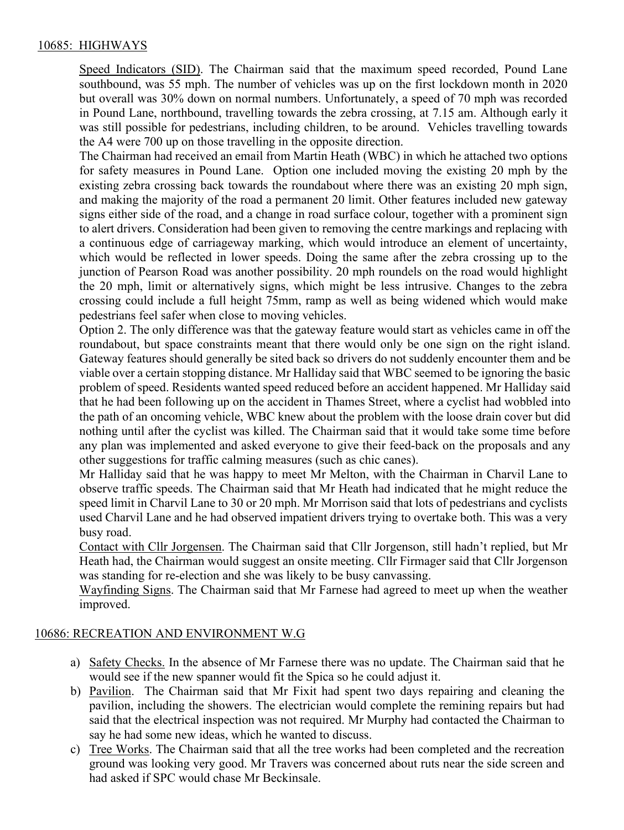# 10685: HIGHWAYS

Speed Indicators (SID). The Chairman said that the maximum speed recorded, Pound Lane southbound, was 55 mph. The number of vehicles was up on the first lockdown month in 2020 but overall was 30% down on normal numbers. Unfortunately, a speed of 70 mph was recorded in Pound Lane, northbound, travelling towards the zebra crossing, at 7.15 am. Although early it was still possible for pedestrians, including children, to be around. Vehicles travelling towards the A4 were 700 up on those travelling in the opposite direction.

The Chairman had received an email from Martin Heath (WBC) in which he attached two options for safety measures in Pound Lane. Option one included moving the existing 20 mph by the existing zebra crossing back towards the roundabout where there was an existing 20 mph sign, and making the majority of the road a permanent 20 limit. Other features included new gateway signs either side of the road, and a change in road surface colour, together with a prominent sign to alert drivers. Consideration had been given to removing the centre markings and replacing with a continuous edge of carriageway marking, which would introduce an element of uncertainty, which would be reflected in lower speeds. Doing the same after the zebra crossing up to the junction of Pearson Road was another possibility. 20 mph roundels on the road would highlight the 20 mph, limit or alternatively signs, which might be less intrusive. Changes to the zebra crossing could include a full height 75mm, ramp as well as being widened which would make pedestrians feel safer when close to moving vehicles.

Option 2. The only difference was that the gateway feature would start as vehicles came in off the roundabout, but space constraints meant that there would only be one sign on the right island. Gateway features should generally be sited back so drivers do not suddenly encounter them and be viable over a certain stopping distance. Mr Halliday said that WBC seemed to be ignoring the basic problem of speed. Residents wanted speed reduced before an accident happened. Mr Halliday said that he had been following up on the accident in Thames Street, where a cyclist had wobbled into the path of an oncoming vehicle, WBC knew about the problem with the loose drain cover but did nothing until after the cyclist was killed. The Chairman said that it would take some time before any plan was implemented and asked everyone to give their feed-back on the proposals and any other suggestions for traffic calming measures (such as chic canes).

Mr Halliday said that he was happy to meet Mr Melton, with the Chairman in Charvil Lane to observe traffic speeds. The Chairman said that Mr Heath had indicated that he might reduce the speed limit in Charvil Lane to 30 or 20 mph. Mr Morrison said that lots of pedestrians and cyclists used Charvil Lane and he had observed impatient drivers trying to overtake both. This was a very busy road.

Contact with Cllr Jorgensen. The Chairman said that Cllr Jorgenson, still hadn't replied, but Mr Heath had, the Chairman would suggest an onsite meeting. Cllr Firmager said that Cllr Jorgenson was standing for re-election and she was likely to be busy canvassing.

Wayfinding Signs. The Chairman said that Mr Farnese had agreed to meet up when the weather improved.

# 10686: RECREATION AND ENVIRONMENT W.G

- a) Safety Checks. In the absence of Mr Farnese there was no update. The Chairman said that he would see if the new spanner would fit the Spica so he could adjust it.
- b) Pavilion. The Chairman said that Mr Fixit had spent two days repairing and cleaning the pavilion, including the showers. The electrician would complete the remining repairs but had said that the electrical inspection was not required. Mr Murphy had contacted the Chairman to say he had some new ideas, which he wanted to discuss.
- c) Tree Works. The Chairman said that all the tree works had been completed and the recreation ground was looking very good. Mr Travers was concerned about ruts near the side screen and had asked if SPC would chase Mr Beckinsale.